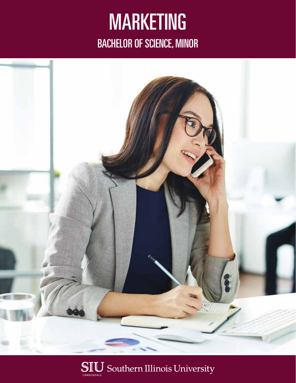# MARKETING BACHELOR OF SCIENCE, MINOR